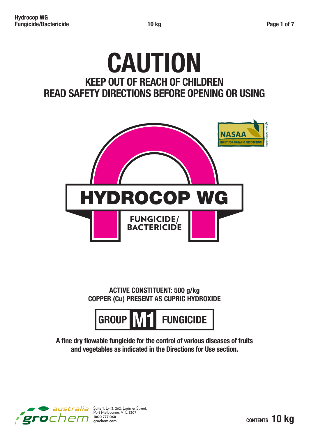# **CAUTION KEEP OUT OF REACH OF CHILDREN READ SAFETY DIRECTIONS BEFORE OPENING OR USING**



**ACTIVE CONSTITUENT: 500 g/kg COPPER (Cu) PRESENT AS CUPRIC HYDROXIDE**



**A fine dry flowable fungicide for the control of various diseases of fruits and vegetables as indicated in the Directions for Use section.**

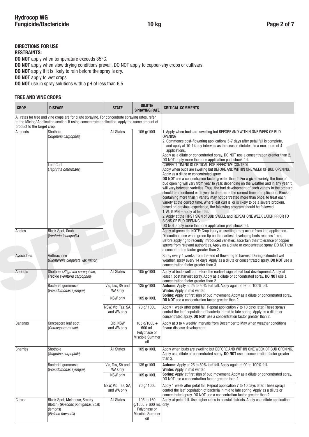## **DIRECTIONS FOR USE**

#### **RESTRAINTS:**

**DO NOT** apply when temperature exceeds 35°C.

**DO NOT** apply when slow drying conditions prevail. DO NOT apply to copper-shy crops or cultivars.

**DO NOT** apply if it is likely to rain before the spray is dry.

**DO NOT** apply to wet crops.

**DO NOT** use in spray solutions with a pH of less than 6.5

#### **TREE AND VINE CROPS**

| <b>CROP</b>                 | <b>DISEASE</b>                                                                                                                                                                                    | <b>STATE</b>                                  | <b>DILUTE/</b><br><b>SPRAYING RATE</b>                                          | <b>CRITICAL COMMENTS</b>                                                                                                                                                                                                                                                                                                                                                                                                                                                                                                                                                                                                                                                                                                                                                                                                                                                                                                                                                                                                                                                                                                                                                                                                                                                                                                                                                                                                            |
|-----------------------------|---------------------------------------------------------------------------------------------------------------------------------------------------------------------------------------------------|-----------------------------------------------|---------------------------------------------------------------------------------|-------------------------------------------------------------------------------------------------------------------------------------------------------------------------------------------------------------------------------------------------------------------------------------------------------------------------------------------------------------------------------------------------------------------------------------------------------------------------------------------------------------------------------------------------------------------------------------------------------------------------------------------------------------------------------------------------------------------------------------------------------------------------------------------------------------------------------------------------------------------------------------------------------------------------------------------------------------------------------------------------------------------------------------------------------------------------------------------------------------------------------------------------------------------------------------------------------------------------------------------------------------------------------------------------------------------------------------------------------------------------------------------------------------------------------------|
| product to the target crop. | All rates for tree and vine crops are for dilute spraying. For concentrate spraying rates, refer<br>to the Mixing/Application section. If using concentrate application, apply the same amount of |                                               |                                                                                 |                                                                                                                                                                                                                                                                                                                                                                                                                                                                                                                                                                                                                                                                                                                                                                                                                                                                                                                                                                                                                                                                                                                                                                                                                                                                                                                                                                                                                                     |
| <b>Almonds</b>              | Shothole<br>(Stigmina carpophila)<br>Leaf Curl<br>(Taphrina deformans)                                                                                                                            | <b>All States</b>                             | 105 g/100L                                                                      | 1. Apply when buds are swelling but BEFORE AND WITHIN ONE WEEK OF BUD<br><b>OPENING</b><br>2. Commence post-flowering applications 5-7 days after petal fall is complete,<br>and apply at 10-14 day intervals as the season dictates, to a maximum of 4<br>applications.<br>Apply as a dilute or concentrated spray. DO NOT use a concentration greater than 2.<br>DO NOT apply more than one application past shuck fall.<br>CORRECT TIMING IS CRITICAL FOR EFFECTIVE CONTROL.<br>Apply when buds are swelling but BEFORE AND WITHIN ONE WEEK OF BUD OPENING.<br>Apply as a dilute or concentrated spray.<br>DO NOT use a concentration factor greater than 2. For a given variety, the time of<br>bud opening will vary from year to year, depending on the weather and in any year it<br>will vary between varieties. Thus, the bud development of each variety in the orchard<br>should be monitored each year to determine the correct time of application. Blocks<br>containing more than 1 variety may not be treated more than once, to treat each<br>variety at the correct time. Where leaf curl is, or is likely to be a severe problem,<br>based on previous experience, the following program should be followed.<br>1. AUTUMN - apply at leaf fall.<br>2. Apply at the FIRST SIGN of BUD SWELL and REPEAT ONE WEEK LATER PRIOR TO<br>SIGNS OF BUD OPENING.<br>DO NOT apply more than one application past shuck fall. |
| Apples                      | <b>Black Spot, Scab</b><br>(Venturia inaequalis)                                                                                                                                                  |                                               |                                                                                 | Apply at green tip. NOTE: Crop injury (russetting) may occur from late application.<br>Discontinue use when green tip on the earliest developing buds reaches 1 cm.<br>Before applying to recently introduced varieties, ascertain their tolerance of copper<br>sprays from relevant authorities. Apply as a dilute or concentrated spray. DO NOT use<br>a concentration factor greater than 2.                                                                                                                                                                                                                                                                                                                                                                                                                                                                                                                                                                                                                                                                                                                                                                                                                                                                                                                                                                                                                                     |
| Avocadoes                   | Anthracnose<br>(Glomerella cingulata var. minor)                                                                                                                                                  |                                               |                                                                                 | Spray every 4 weeks from the end of flowering to harvest. During extended wet<br>weather, spray every 14 days. Apply as a dilute or concentrated spray. DO NOT use a<br>concentration factor greater than 3.                                                                                                                                                                                                                                                                                                                                                                                                                                                                                                                                                                                                                                                                                                                                                                                                                                                                                                                                                                                                                                                                                                                                                                                                                        |
| Apricots                    | Shothole (Stigmina carpophila),<br>Freckle (Venturia carpophila)                                                                                                                                  | <b>All States</b>                             | 105 g/100L                                                                      | Apply at bud swell but before the earliest sign of leaf bud development. Apply at<br>least 1 post harvest spray. Apply as a dilute or concentrated spray. DO NOT use a<br>concentration factor greater than 2.                                                                                                                                                                                                                                                                                                                                                                                                                                                                                                                                                                                                                                                                                                                                                                                                                                                                                                                                                                                                                                                                                                                                                                                                                      |
|                             | Bacterial gummosis<br>(Pseudomonas syringae)                                                                                                                                                      | Vic, Tas, SA and<br>WA Only<br>NSW only       | 135 g/100L<br>105 g/100L                                                        | Autumn: Apply at 25 to 50% leaf fall. Apply again at 90 to 100% fall.<br>Winter: Apply in mid winter.<br>Spring: Apply at first sign of bud movement. Apply as a dilute or concentrated spray.<br><b>DO NOT</b> use a concentration factor greater than 2.                                                                                                                                                                                                                                                                                                                                                                                                                                                                                                                                                                                                                                                                                                                                                                                                                                                                                                                                                                                                                                                                                                                                                                          |
|                             |                                                                                                                                                                                                   | NSW, Vic, Tas, SA,<br>and WA only             | 70 g/ 100L                                                                      | Apply 1 week after petal fall. Repeat application 7 to 10 days later. These sprays<br>control the leaf population of bacteria in mid to late spring. Apply as a dilute or<br>concentrated spray. DO NOT use a concentration factor greater than 2.                                                                                                                                                                                                                                                                                                                                                                                                                                                                                                                                                                                                                                                                                                                                                                                                                                                                                                                                                                                                                                                                                                                                                                                  |
| <b>Bananas</b>              | Cercospora leaf spot<br>(Cercospora musae)                                                                                                                                                        | Qld, NSW<br>and WA only                       | 105 g/100L +<br>600 mL<br>Polyphase or<br>Miscible Summer<br>oil                | Apply at 3 to 4 weekly intervals from December to May when weather conditions<br>favour disease development.                                                                                                                                                                                                                                                                                                                                                                                                                                                                                                                                                                                                                                                                                                                                                                                                                                                                                                                                                                                                                                                                                                                                                                                                                                                                                                                        |
| Cherries                    | Shothole<br>(Stigmina carpophila)                                                                                                                                                                 | <b>All States</b>                             | 105 g/100L                                                                      | Apply when buds are swelling but BEFORE AND WITHIN ONE WEEK OF BUD OPENING.<br>Apply as a dilute or concentrated spray. DO NOT use a concentration factor greater<br>than 2.                                                                                                                                                                                                                                                                                                                                                                                                                                                                                                                                                                                                                                                                                                                                                                                                                                                                                                                                                                                                                                                                                                                                                                                                                                                        |
|                             | Bacterial gummosis<br>(Pseudomonas syringae)                                                                                                                                                      | Vic, Tas, SA and<br>WA Only                   | 135 g/100L                                                                      | <b>Autumn:</b> Apply at 25 to 50% leaf fall. Apply again at 90 to 100% fall.<br>Winter: Apply in mid winter.<br>Spring: Apply at first sign of bud movement. Apply as a dilute or concentrated spray.                                                                                                                                                                                                                                                                                                                                                                                                                                                                                                                                                                                                                                                                                                                                                                                                                                                                                                                                                                                                                                                                                                                                                                                                                               |
|                             |                                                                                                                                                                                                   | NSW only<br>NSW, Vic, Tas, SA,<br>and WA only | 105 g/100L<br>70 g/ 100L                                                        | DO NOT use a concentration factor greater than 2.<br>Apply 1 week after petal fall. Repeat application 7 to 10 days later. These sprays<br>control the leaf population of bacteria in mid to late spring. Apply as a dilute or                                                                                                                                                                                                                                                                                                                                                                                                                                                                                                                                                                                                                                                                                                                                                                                                                                                                                                                                                                                                                                                                                                                                                                                                      |
| Citrus                      | Black Spot, Melanose, Smoky<br>Blotch (Gloeodes pomigena), Scab<br>(lemons)<br>(Elsinoe fawcettii)                                                                                                | <b>All States</b>                             | 105 to 160<br>$q/100L + 600$ mL only.<br>Polyphase or<br>Miscible Summer<br>oil | concentrated spray. DO NOT use a concentration factor greater than 2.<br>Apply at petal fall. Use higher rates in coastal districts. Apply as a dilute application                                                                                                                                                                                                                                                                                                                                                                                                                                                                                                                                                                                                                                                                                                                                                                                                                                                                                                                                                                                                                                                                                                                                                                                                                                                                  |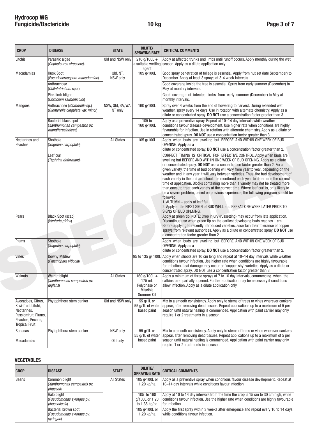| <b>CROP</b>                                                                                                                   | <b>DISEASE</b>                                                            | <b>STATE</b>                 | <b>DILUTE/</b><br><b>SPRAYING RATE</b>                                    | <b>CRITICAL COMMENTS</b>                                                                                                                                                                                                                                                                                                                                                                                                                                                                                                                                                                                                                                                                                                                                                                                                                                                                                                                         |
|-------------------------------------------------------------------------------------------------------------------------------|---------------------------------------------------------------------------|------------------------------|---------------------------------------------------------------------------|--------------------------------------------------------------------------------------------------------------------------------------------------------------------------------------------------------------------------------------------------------------------------------------------------------------------------------------------------------------------------------------------------------------------------------------------------------------------------------------------------------------------------------------------------------------------------------------------------------------------------------------------------------------------------------------------------------------------------------------------------------------------------------------------------------------------------------------------------------------------------------------------------------------------------------------------------|
| Litchis                                                                                                                       | Parasitic algae<br>(Cephaleuros virescens)                                | Qld and NSW only             | $210$ g/100L +<br>agent                                                   | Apply at affected trunks and limbs until runoff occurs. Apply monthly during the wet<br>a suitable wetting season. Apply as a dilute application only.                                                                                                                                                                                                                                                                                                                                                                                                                                                                                                                                                                                                                                                                                                                                                                                           |
| Macadamias                                                                                                                    | <b>Husk Spot</b><br>(Pseudocercospora macadamiae)                         | Qld, NT,<br>NSW only         | 105 g/100L                                                                | Good spray penetration of foliage is essential. Apply from nut set (late September) to<br>December. Apply at least 3 sprays at 3-4 week intervals.                                                                                                                                                                                                                                                                                                                                                                                                                                                                                                                                                                                                                                                                                                                                                                                               |
|                                                                                                                               | Anthracnose<br>( <i>Colletotrichum</i> spp.)                              |                              |                                                                           | Good coverage inside the tree is essential. Spray from early summer (December) to<br>May at monthly intervals.                                                                                                                                                                                                                                                                                                                                                                                                                                                                                                                                                                                                                                                                                                                                                                                                                                   |
|                                                                                                                               | Pink limb blight<br>(Corticium salmonicolor)                              |                              |                                                                           | Good coverage of infected limbs from early summer (December) to May at<br>monthly intervals.                                                                                                                                                                                                                                                                                                                                                                                                                                                                                                                                                                                                                                                                                                                                                                                                                                                     |
| <b>Mangoes</b>                                                                                                                | Anthracnose (Glomerella sp.)<br>(Glomerella cingulata var. minor)         | NSW, Qld, SA, WA,<br>NT only | 160 g/100L                                                                | Spray over 4 weeks from the end of flowering to harvest. During extended wet<br>weather, spray every 14 days. Use in rotation with alternate chemistry. Apply as a<br>dilute or concentrated spray. DO NOT use a concentration factor greater than 3.                                                                                                                                                                                                                                                                                                                                                                                                                                                                                                                                                                                                                                                                                            |
|                                                                                                                               | Bacterial black spot<br>(Xanthomonas campestris pv.<br>mangiferaeindicae) |                              | 105 to<br>160 g/100L                                                      | Apply as a preventive spray. Repeat at 10-14 day intervals while weather<br>conditions favour disease development. Use higher rate when conditions are highly<br>favourable for infection. Use in rotation with alternate chemistry. Apply as a dilute or<br>concentrated spray. DO NOT use a concentration factor greater than 3.                                                                                                                                                                                                                                                                                                                                                                                                                                                                                                                                                                                                               |
| Nectarines and<br>Peaches                                                                                                     | Shothole<br>(Stigmina carpophila)                                         | <b>All States</b>            | 105 g/100L                                                                | Apply when buds are swelling but BEFORE AND WITHIN ONE WEEK OF BUD<br>OPENING. Apply as a<br>dilute or concentrated spray. DO NOT use a concentration factor greater than 2.                                                                                                                                                                                                                                                                                                                                                                                                                                                                                                                                                                                                                                                                                                                                                                     |
|                                                                                                                               | Leaf curl<br>(Taphrina deformans)                                         |                              |                                                                           | CORRECT TIMING IS CRITICAL FOR EFFECTIVE CONTROL. Apply when buds are<br>swelling but BEFORE AND WITHIN ONE WEEK OF BUD OPENING. Apply as a dilute<br>or concentrated spray. DO NOT use a concentration factor greater than 2. For a<br>given variety, the time of bud opening will vary from year to year, depending on the<br>weather and in any year it will vary between varieties. Thus, the bud development of<br>each variety in the orchard should be monitored each year to determine the correct<br>time of application. Blocks containing more than 1 variety may not be treated more<br>than once, to treat each variety at the correct time. Where leaf curl is, or is likely to<br>be a severe problem, based on previous experience, the following program should be<br>followed.<br>1. AUTUMN - apply at leaf fall.<br>2. Apply at the FIRST SIGN of BUD WELL and REPEAT ONE WEEK LATER PRIOR TO<br><b>SIGNS OF BUD OPENING.</b> |
| Pears                                                                                                                         | Black Spot (scab)<br>(Venturia pirina)                                    |                              |                                                                           | Apply at green tip. NOTE: Crop injury (russetting) may occur from late application.<br>Discontinue use when green tip on the earliest developing buds reaches 1 cm.<br>Before applying to recently introduced varieties, ascertain their tolerance of copper<br>sprays from relevant authorities. Apply as a dilute or concentrated spray. DO NOT use<br>a concentration factor greater than 2.                                                                                                                                                                                                                                                                                                                                                                                                                                                                                                                                                  |
| Plums                                                                                                                         | Shothole<br>(Stigmina carpophila)                                         |                              |                                                                           | Apply when buds are swelling but BEFORE AND WITHIN ONE WEEK OF BUD<br>OPENING. Apply as a<br>dilute or concentrated spray. DO NOT use a concentration factor greater than 2.                                                                                                                                                                                                                                                                                                                                                                                                                                                                                                                                                                                                                                                                                                                                                                     |
| Vines                                                                                                                         | Downy Mildew<br>(Plasmopara viticola)                                     |                              |                                                                           | 95 to 135 g/ 100L Apply when shoots are 10 cm long and repeat at 10–14 day intervals while weather<br>conditions favour infection. Use higher rate when conditions are highly favourable<br>for infection. Leaf damage may occur on 'copper-shy' varieties. Apply as a dilute or<br>concentrated spray. DO NOT use a concentration factor greater than 3.                                                                                                                                                                                                                                                                                                                                                                                                                                                                                                                                                                                        |
| Walnuts                                                                                                                       | <b>Walnut blight</b><br>(Xanthomonas campestris pv.<br>juglans)           | <b>All States</b>            | 160 $q/100L +$<br>175 mL<br>Polyphase or<br><b>Miscible</b><br>Summer Oil | Apply a minimum of three sprays at 7 to 10 day intervals, commencing when the<br>catkins are partially opened. Further application may be necessary if conditions<br>allow infection. Apply as a dilute application only.                                                                                                                                                                                                                                                                                                                                                                                                                                                                                                                                                                                                                                                                                                                        |
| Avocadoes, Citrus,<br>Kiwi-fruit, Litchi,<br>Nectarines,<br>Passionfruit, Plums,<br>Peaches, Pecans,<br><b>Tropical Fruit</b> | Phytophthora stem canker                                                  | Qld and NSW only             | 55 g/1L or<br>55 g/1L of water<br>based paint                             | Mix to a smooth consistency. Apply only to stems of trees or vines wherever cankers<br>appear, after removing dead tissues. Repeat applications up to a maximum of 5 per<br>season until natural healing is commenced. Application with paint carrier may only<br>require 1 or 2 treatments in a season.                                                                                                                                                                                                                                                                                                                                                                                                                                                                                                                                                                                                                                         |
| <b>Bananas</b>                                                                                                                | Phytophthora stem canker                                                  | NSW only                     | 55 g/1L or<br>55 g/1L of water                                            | Mix to a smooth consistency. Apply only to stems of trees or vines wherever cankers<br>appear, after removing dead tissues. Repeat applications up to a maximum of 5 per                                                                                                                                                                                                                                                                                                                                                                                                                                                                                                                                                                                                                                                                                                                                                                         |
| Macadamias                                                                                                                    |                                                                           | Qld only                     | based paint                                                               | season until natural healing is commenced. Application with paint carrier may only<br>require 1 or 2 treatments in a season.                                                                                                                                                                                                                                                                                                                                                                                                                                                                                                                                                                                                                                                                                                                                                                                                                     |

#### **VEGETABLES**

| <b>CROP</b> | <b>DISEASE</b>                                                 | <b>STATE</b> | DILUTE/<br><b>SPRAYING RATE</b>               | <b>CRITICAL COMMENTS</b>                                                                                                                                                                         |
|-------------|----------------------------------------------------------------|--------------|-----------------------------------------------|--------------------------------------------------------------------------------------------------------------------------------------------------------------------------------------------------|
| Beans       | Common blight<br>(Xanthomonas campestris pv.<br>phaseoli       | All States   | 105 g/100L or<br>1.20 ka/ha                   | Apply as a preventive spray when conditions favour disease development. Repeat at<br>10-14 day intervals while conditions favour infection.                                                      |
|             | Halo blight<br>(Pseudomonas syringae pv.<br>I phaseolicola)    |              | 105 to 160<br>q/100L or 1.20<br>to 1.35 kg/ha | Apply at 10 to 14 day intervals from the time the crop is 15 cm to 30 cm high, while<br>conditions favour infection. Use the higher rate when conditions are highly favourable<br>for infection. |
|             | Bacterial brown spot<br>(Pseudomonas syringae pv.<br>syringae) |              | 105 g/100L or<br>1.20 ka/ha                   | Apply the first spray within 3 weeks after emergence and repeat every 10 to 14 days<br>while conditions favour infection.                                                                        |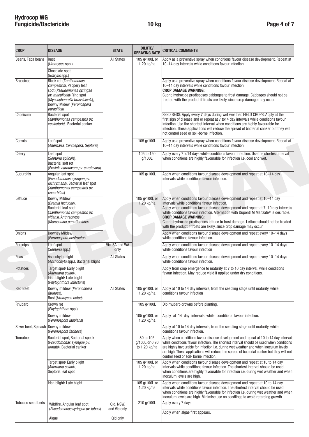| <b>CROP</b>                       | <b>DISEASE</b>                                                                                                                                                                               | <b>STATE</b>              | <b>DILUTE/</b><br><b>SPRAYING RATE</b>       | <b>CRITICAL COMMENTS</b>                                                                                                                                                                                                                                                                                                                                                                                                                                                                          |
|-----------------------------------|----------------------------------------------------------------------------------------------------------------------------------------------------------------------------------------------|---------------------------|----------------------------------------------|---------------------------------------------------------------------------------------------------------------------------------------------------------------------------------------------------------------------------------------------------------------------------------------------------------------------------------------------------------------------------------------------------------------------------------------------------------------------------------------------------|
| Beans, Faba beans                 | Rust<br>(Uromyces spp.)                                                                                                                                                                      | All States                | 105 g/100L or<br>1.20 kg/ha                  | Apply as a preventive spray when conditions favour disease development. Repeat at<br>10-14 day intervals while conditions favour infection.                                                                                                                                                                                                                                                                                                                                                       |
|                                   | Chocolate spot<br>(Botrytis spp.)                                                                                                                                                            |                           |                                              |                                                                                                                                                                                                                                                                                                                                                                                                                                                                                                   |
| <b>Brassicas</b>                  | Black rot (Xanthomonas<br>campestris), Peppery leaf<br>spot (Pseudomonas syringae<br>pv. maculicola), Ring spot<br>(Mycosphaerella brassicicola),<br>Downy Midew (Peronospora<br>parasitica) |                           |                                              | Apply as a preventive spray when conditions favour disease development. Repeat at<br>10-14 day intervals while conditions favour infection.<br><b>CROP DAMAGE WARNING:</b><br>Cupric hydroxide predisposes cabbages to frost damage. Cabbages should not be<br>treated with the product if frosts are likely, since crop damage may occur.                                                                                                                                                        |
| Capsicum                          | Bacterial spot<br>(Xanthomonas campestris pv.<br>vesicatoria), Bacterial canker                                                                                                              |                           |                                              | SEED BEDS: Apply every 7 days during wet weather. FIELD CROPS: Apply at the<br>first sign of disease and or repeat at 7 to 14 day intervals while conditions favour<br>infection. Use the shortest interval when conditions are highly favourable for<br>infection. These applications will reduce the spread of bacterial canker but they will<br>not control seed or soil-borne infection.                                                                                                      |
| Carrots                           | Leaf spot<br>(Alternaria, Cercospora, Septoria)                                                                                                                                              |                           | 105 g/100L                                   | Apply as a preventive spray when conditions favour disease development. Repeat at<br>10-14 day intervals while conditions favour infection.                                                                                                                                                                                                                                                                                                                                                       |
| Celery                            | Leaf spot<br>(Septoria apiicola),<br>Bacterial soft rot<br>(Erwinia carotovora pv. carotovora)                                                                                               |                           | 105 to 150<br>g/100L                         | Apply every 7 to 14 days while conditions favour infection. Use the shortest interval<br>when conditions are highly favourable for infection i.e. cool and wet.                                                                                                                                                                                                                                                                                                                                   |
| Cucurbitis                        | Angular leaf spot<br>(Pseudomonas syringae pv.<br>lachrymans), Bacterial leaf spot<br>(Xanthomonas campestris pv.<br>cucurbitae)                                                             |                           | 105 g/100L                                   | Apply when conditions favour disease development and repeat at 10-14 day<br>intervals while conditions favour infection.                                                                                                                                                                                                                                                                                                                                                                          |
| Lettuce                           | Downy Mildew<br>(Bremia lactucae),<br>Bacterial leaf spot<br>(Xanthomonas campestris pv.<br>vitians), Anthracnose<br>(Marssonina panattoniana)                                               |                           | 105 g/100L or<br>1.20 kg/ha                  | Apply when conditions favour disease development and repeat at 10-14 day<br>intervals while conditions favour infection.<br>Apply when conditions favour disease development and repeat at 7-10 day intervals<br>while conditions favour infection. Alternation with DupontTM Manzate® is desirable.<br><b>CROP DAMAGE WARNING:</b><br>Cupric hydroxide predisposes lettuce to frost damage. Lettuce should not be treated<br>with the product if frosts are likely, since crop damage may occur. |
| Onions                            | <b>Downey Mildew</b><br>(Peronospora destructor)                                                                                                                                             |                           |                                              | Apply when conditions favour disease development and repeat every 10-14 days<br>while conditions favour infection.                                                                                                                                                                                                                                                                                                                                                                                |
| Parsnips                          | Leaf spot<br>(Septoria spp.)                                                                                                                                                                 | Vic, SA and WA<br>only    |                                              | Apply when conditions favour disease development and repeat every 10-14 days<br>while conditions favour infection                                                                                                                                                                                                                                                                                                                                                                                 |
| Peas                              | Ascochyta blight<br>(Aschochyta spp.), Bacterial blight                                                                                                                                      | <b>All States</b>         |                                              | Apply when conditions favour disease development and repeat every 10-14 days<br>while conditions favour infection.                                                                                                                                                                                                                                                                                                                                                                                |
| <b>Potatoes</b>                   | Target spot/ Early blight<br>(Alternaria solani),<br>Irish blight/ Late blight<br>(Phytophthora infestans)                                                                                   |                           |                                              | Apply from crop emergence to maturity at 7 to 10 day interval, while conditions<br>favour infection. May reduce yield if applied under dry conditions.                                                                                                                                                                                                                                                                                                                                            |
| <b>Red Beet</b>                   | Downy mildew (Peronospora<br>farinosa),<br>Rust (Uromyces betae)                                                                                                                             | <b>All States</b>         | 105 g/100L or<br>1.20 kg/ha                  | Apply at 10 to 14 day intervals, from the seedling stage until maturity, while<br>conditions favour infection                                                                                                                                                                                                                                                                                                                                                                                     |
| Rhubarb                           | Crown rot<br>(Phytophthora spp.)                                                                                                                                                             |                           | 105 g/100L                                   | Dip rhubarb crowns before planting.                                                                                                                                                                                                                                                                                                                                                                                                                                                               |
|                                   | Downy mildew<br>(Peronospora jaapiana)                                                                                                                                                       |                           | 105 g/100L or<br>$1.20$ kg/ha                | Apply at 14 day intervals while conditions favour infection.                                                                                                                                                                                                                                                                                                                                                                                                                                      |
| Silver beet, Spinach Downy mildew | (Peronospora farinosa)                                                                                                                                                                       |                           |                                              | Apply at 10 to 14 day intervals, from the seedling stage until maturity, while<br>conditions favour infection.                                                                                                                                                                                                                                                                                                                                                                                    |
| <b>Tomatoes</b>                   | Bacterial spot, Bacterial speck<br>(Pseudomonas syringae pv.<br>tomato), Bacterial canker                                                                                                    |                           | 80 to 105<br>g/100L or 0.90<br>to 1.20 kg/ha | Apply when conditions favour disease development and repeat at 10 to 14 day intervals<br>while conditions favour infection. The shortest interval should be used when conditions<br>are highly favourable for infection i.e. during wet weather and when inoculum levels<br>are high. These applications will reduce the spread of bacterial canker but they will not<br>control seed or soil- borne infection.                                                                                   |
|                                   | Target spot/ Early blight<br>(Alternaria solani),<br>Septoria leaf spot                                                                                                                      |                           | 105 g/100L or<br>$1.20$ kg/ha                | Apply when conditions favour disease development and repeat at 10 to 14 day<br>intervals while conditions favour infection. The shortest interval should be used<br>when conditions are highly favourable for infection i.e. during wet weather and when<br>inoculum levels are high.                                                                                                                                                                                                             |
|                                   | Irish blight/ Late blight                                                                                                                                                                    |                           | 105 g/100L or<br>$1.20$ kg/ha                | Apply when conditions favour disease development and repeat at 10 to 14 day<br>intervals while conditions favour infection. The shortest interval should be used<br>when conditions are highly favourable for infection i.e. during wet weather and when<br>inoculum levels are high. Minimise use on seedlings to avoid retarding growth.                                                                                                                                                        |
| Tobacco seed beds                 | Wildfire, Angular leaf spot<br>(Pseudomonas syringae pv. tabaci)                                                                                                                             | Qld, NSW,<br>and Vic only | 210 g/100L                                   | Apply every 7 days.<br>Apply when algae first appears.                                                                                                                                                                                                                                                                                                                                                                                                                                            |
|                                   | Algae                                                                                                                                                                                        | Qld only                  |                                              |                                                                                                                                                                                                                                                                                                                                                                                                                                                                                                   |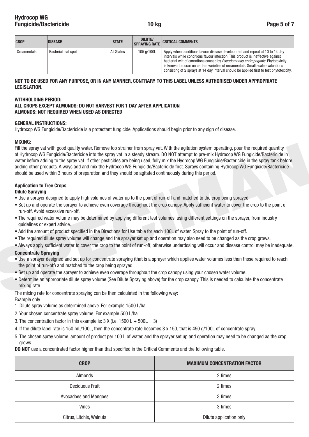| <b>CROP</b> | <b>DISEASE</b>      | <b>STATE</b> | <b>DILUTE/</b><br><b>SPRAYING RATE</b> | <b>CRITICAL COMMENTS</b>                                                                                                                                                                                                                                                                                                                                                                                                        |
|-------------|---------------------|--------------|----------------------------------------|---------------------------------------------------------------------------------------------------------------------------------------------------------------------------------------------------------------------------------------------------------------------------------------------------------------------------------------------------------------------------------------------------------------------------------|
| Ornamentals | Bacterial leaf spot | All States   | 105 g/100L                             | Apply when conditions favour disease development and repeat at 10 to 14 day<br>intervals while conditions favour infection. This product is ineffective against<br>bacterial wilt of carnations caused by Pseudomonas andropogonis. Phytotoxicity<br>is known to occur on certain varieties of ornamentals. Small scale evaluations<br>consisting of 2 sprays at 14 day interval should be applied first to test phytotoxicity. |

#### **NOT TO BE USED FOR ANY PURPOSE, OR IN ANY MANNER, CONTRARY TO THIS LABEL UNLESS AUTHORISED UNDER APPROPRIATE LEGISLATION.**

#### **WITHHOLDING PERIOD:**

### **ALL CROPS EXCEPT ALMONDS: DO NOT HARVEST FOR 1 DAY AFTER APPLICATION ALMONDS: NOT REQUIRED WHEN USED AS DIRECTED**

#### **GENERAL INSTRUCTIONS:**

Hydrocop WG Fungicide/Bactericide is a protectant fungicide. Applications should begin prior to any sign of disease.

#### **MIXING:**

Fill the speay vat with good quality water. Remove top strainer from spray vat. With the agitation system operating, pour the required quantity<br>of Hydrocop W6 Fungicide@Stactericole into the spray vat in a steady stream. D Fill the spray vat with good quality water. Remove top strainer from spray vat. With the agitation system operating, pour the required quantity of Hydrocop WG Fungicide/Bactericide into the spray vat in a steady stream. DO NOT attempt to pre-mix Hydrocop WG Fungicide/Bactericide in water before adding to the spray vat. If other pesticides are being used, fully mix the Hydrocop WG Fungicide/Bactericide in the spray tank before adding other products. Always add and mix the Hydrocop WG Fungicide/Bactericide first. Sprays containing Hydrocop WG Fungicide/Bactericide should be used within 3 hours of preparation and they should be agitated continuously during this period.

## **Application to Tree Crops**

#### **Dilute Spraying**

- Use a sprayer designed to apply high volumes of water up to the point of run-off and matched to the crop being sprayed.
- Set up and operate the sprayer to achieve even coverage throughout the crop canopy. Apply sufficient water to cover the crop to the point of run-off. Avoid excessive run-off.
- The required water volume may be determined by applying different test volumes, using different settings on the sprayer, from industry guidelines or expert advice.
- Add the amount of product specified in the Directions for Use table for each 100L of water. Spray to the point of run-off.
- The required dilute spray volume will change and the sprayer set up and operation may also need to be changed as the crop grows.
- Always apply sufficient water to cover the crop to the point of run-off, otherwise underdosing will occur and disease control may be inadequate.

#### **Concentrate Spraying**

- Use a sprayer designed and set up for concentrate spraying (that is a sprayer which applies water volumes less than those required to reach the point of run-off) and matched to the crop being sprayed.
- Set up and operate the sprayer to achieve even coverage throughout the crop canopy using your chosen water volume.
- Determine an appropriate dilute spray volume (See Dilute Spraying above) for the crop canopy. This is needed to calculate the concentrate mixing rate.
- The mixing rate for concentrate spraying can be then calculated in the following way:

Example only

- 1. Dilute spray volume as determined above: For example 1500 L/ha
- 2. Your chosen concentrate spray volume: For example 500 L/ha
- 3. The concentration factor in this example is:  $3 \times (i.e. 1500 \text{ L} \div 500 \text{ L} = 3)$
- 4. If the dilute label rate is 150 mL/100L, then the concentrate rate becomes 3 x 150, that is 450 g/100L of concentrate spray.
- 5. The chosen spray volume, amount of product per 100 L of water, and the sprayer set up and operation may need to be changed as the crop grows.

**DO NOT** use a concentrated factor higher than that specified in the Critical Comments and the following table.

| <b>CROP</b>              | <b>MAXIMUM CONCENTRATION FACTOR</b> |
|--------------------------|-------------------------------------|
| Almonds                  | 2 times                             |
| Deciduous Fruit          | 2 times                             |
| Avocadoes and Mangoes    | 3 times                             |
| <b>Vines</b>             | 3 times                             |
| Citrus, Litchis, Walnuts | Dilute application only             |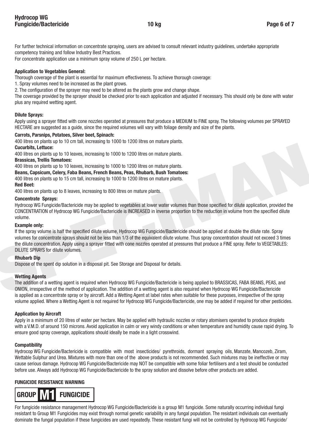For further technical information on concentrate spraying, users are advised to consult relevant industry guidelines, undertake appropriate competency training and follow Industry Best Practices.

For concentrate application use a minimum spray volume of 250 L per hectare.

## **Application to Vegetables General:**

Thorough coverage of the plant is essential for maximum effectiveness. To achieve thorough coverage:

- 1. Spray volumes need to be increased as the plant grows.
- 2. The configuration of the sprayer may need to be altered as the plants grow and change shape.

The coverage provided by the sprayer should be checked prior to each application and adjusted if necessary. This should only be done with water plus any required wetting agent.

## **Dilute Sprays:**

Apply using a sprayer fitted with cone nozzles operated at pressures that produce a MEDIUM to FINE spray. The following volumes per SPRAYED HECTARE are suggested as a guide, since the required volumes will vary with foliage density and size of the plants.

## **Carrots, Parsnips, Potatoes, Silver beet, Spinach:**

400 litres on plants up to 10 cm tall, increasing to 1000 to 1200 litres on mature plants.

**Cucurbits, Lettuce:**

400 litres on plants up to 10 leaves, increasing to 1000 to 1200 litres on mature plants.

## **Brassicas, Trellis Tomatoes:**

400 litres on plants up to 10 leaves, increasing to 1000 to 1200 litres on mature plants.

**Beans, Capsicum, Celery, Faba Beans, French Beans, Peas, Rhubarb, Bush Tomatoes:**

400 litres on plants up to 15 cm tall, increasing to 1000 to 1200 litres on mature plants.

## **Red Beet:**

400 litres on plants up to 8 leaves, increasing to 800 litres on mature plants.

## **Concentrate Sprays:**

Hydrocop WG Fungicide/Bactericide may be applied to vegetables at lower water volumes than those specified for dilute application, provided the CONCENTRATION of Hydrocop WG Fungicide/Bactericide is INCREASED in inverse proportion to the reduction in volume from the specified dilute volume.

#### **Example only:**

Cucurbits, Lettuce:<br>40 litres:<br>40 litres: any litres by to 10 leaves, increasing to 1000 to 1200 litres on mature plants.<br>5 Brassicas, Theils Tomatose:<br>40 litres on plants up to 10 leaves, increasing to 1000 to 1200 litres If the spray volume is half the specified dilute volume, Hydrocop WG Fungicide/Bactericide should be applied at double the dilute rate. Spray volumes for concentrate sprays should not be less than 1/3 of the equivalent dilute volume. Thus spray concentration should not exceed 3 times the dilute concentration. Apply using a sprayer fitted with cone nozzles operated at pressures that produce a FINE spray. Refer to VEGETABLES: DILUTE SPRAYS for dilute volumes.

#### **Rhubarb Dip**

Dispose of the spent dip solution in a disposal pit. See Storage and Disposal for details.

## **Wetting Agents**

The addition of a wetting agent is required when Hydrocop WG Fungicide/Bactericide is being applied to BRASSICAS, FABA BEANS, PEAS, and ONION, irrespective of the method of application. The addition of a wetting agent is also required when Hydrocop WG Fungicide/Bactericide is applied as a concentrate spray or by aircraft. Add a Wetting Agent at label rates when suitable for these purposes, irrespective of the spray volume applied. Where a Wetting Agent is not required for Hydrocop WG Fungicide/Bactericide, one may be added if required for other pesticides.

## **Application by Aircraft**

Apply in a minimum of 20 litres of water per hectare. May be applied with hydraulic nozzles or rotary atomisers operated to produce droplets with a V.M.D. of around 150 microns. Avoid application in calm or very windy conditions or when temperature and humidity cause rapid drying. To ensure good spray coverage, applications should ideally be made in a light crosswind.

## **Compatibility**

Hydrocop WG Fungicide/Bactericide is compatible with most insecticides/ pyrethroids, dormant spraying oils, Manzate, Mancozeb, Ziram, Wettable Sulphur and Urea. Mixtures with more than one of the above products is not recommended. Such mixtures may be ineffective or may cause serious damage. Hydrocop WG Fungicide/Bactericide may NOT be compatible with some foliar fertilisers and a test should be conducted before use. Always add Hydrocop WG Fungicide/Bactericide to the spray solution and dissolve before other products are added.

## **FUNGICIDE RESISTANCE WARNING**



For fungicide resistance management Hydrocop WG Fungicide/Bactericide is a group M1 fungicide. Some naturally occurring individual fungi resistant to Group M1 Fungicides may exist through normal genetic variability in any fungal population. The resistant individuals can eventually dominate the fungal population if these fungicides are used repeatedly. These resistant fungi will not be controlled by Hydrocop WG Fungicide/